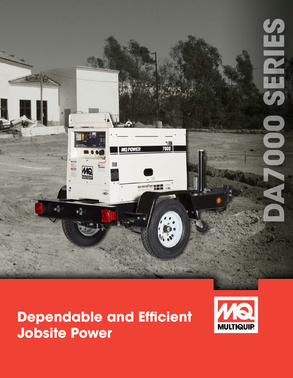

# **Dependable and Efficient Jobsite Power**

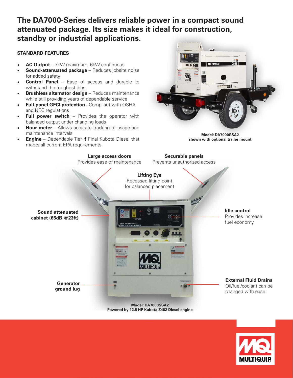### **The DA7000-Series delivers reliable power in a compact sound attenuated package. Its size makes it ideal for construction, standby or industrial applications.**

#### **STANDARD FEATURES**

- **AC Output** 7kW maximum, 6kW continuous
- **Sound-attenuated package** Reduces jobsite noise for added safety
- **Control Panel** Ease of access and durable to withstand the toughest jobs
- **Brushless alternator design** Reduces maintenance while still providing years of dependable service
- **Full-panel GFCI protection** –Compliant with OSHA and NEC regulations
- **Full power switch** Provides the operator with balanced output under changing loads
- **Hour meter** Allows accurate tracking of usage and maintenance intervals
- **Engine** Dependable Tier 4 Final Kubota Diesel that meets all current EPA requirements



**Model: DA7000SSA2 shown with optional trailer mount**



**Powered by 12.5 HP Kubota Z482 Diesel engine**

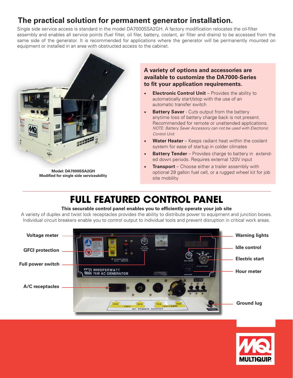### **The practical solution for permanent generator installation.**

Single side service access is standard in the model DA7000SSA2GH. A factory modification relocates the oil-filter assembly and enables all service points (fuel filter, oil filer, battery, coolant, air filter and drains) to be accessed from the same side of the generator. It is recommended for applications where the generator will be permanently mounted on equipment or installed in an area with obstructed access to the cabinet.



**Model: DA7000SSA2GH Modified for single side serviceability**

#### **A variety of options and accessories are available to customize the DA7000-Series to fit your application requirements.**

- **Electronic Control Unit** Provides the ability to automatically start/stop with the use of an automatic transfer switch
- **Battery Saver** Cuts output from the battery anytime loss of battery charge back is not present. Recommended for remote or unattended applications. *NOTE: Battery Saver Accessory can not be used with Electronic Control Unit*
- **Water Heater** Keeps radiant heat within the coolant system for ease of startup in colder climates
- **Battery Tender** Provides charge to battery in extended down periods. Requires external 120V input
- **Transport** Choose either a trailer assembly with optional 28 gallon fuel cell, or a rugged wheel kit for job site mobility

## **FULL FEATURED CONTROL PANEL**

#### **This securable control panel enables you to efficiently operate your job site**

A variety of duplex and twist lock receptacles provides the ability to distribute power to equipment and junction boxes. Individual circuit breakers enable you to control output to individual tools and prevent disruption in critical work areas.